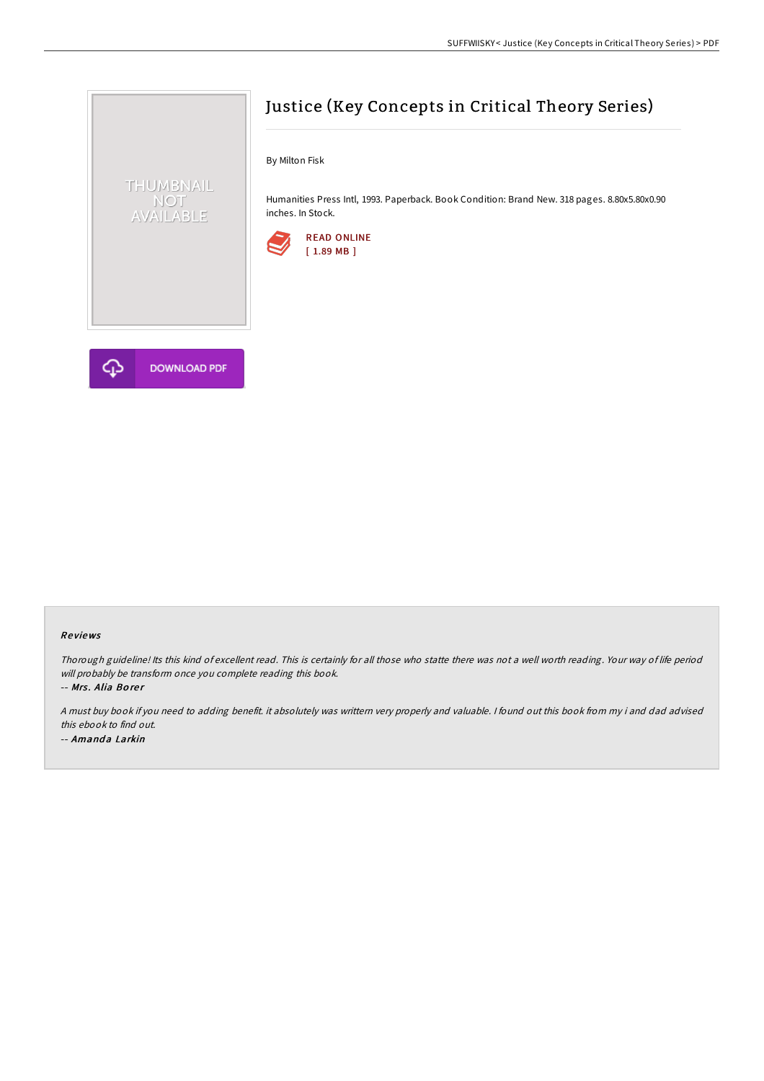

# Justice (Key Concepts in Critical Theory Series)

By Milton Fisk

Humanities Press Intl, 1993. Paperback. Book Condition: Brand New. 318 pages. 8.80x5.80x0.90 inches. In Stock.



#### Re views

Thorough guideline! Its this kind of excellent read. This is certainly for all those who statte there was not <sup>a</sup> well worth reading. Your way of life period will probably be transform once you complete reading this book.

-- Mrs. Alia Borer

<sup>A</sup> must buy book if you need to adding benefit. it absolutely was writtern very properly and valuable. <sup>I</sup> found out this book from my i and dad advised this ebook to find out. -- Amanda Larkin